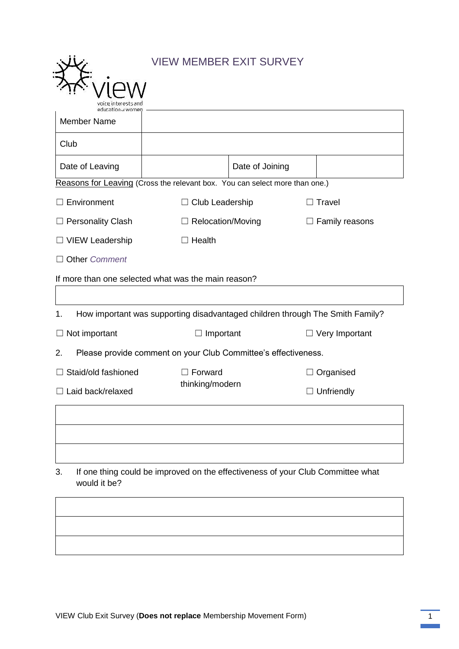|                                                                                                       | <b>VIEW MEMBER EXIT SURVEY</b> |                 |                       |  |  |
|-------------------------------------------------------------------------------------------------------|--------------------------------|-----------------|-----------------------|--|--|
|                                                                                                       |                                |                 |                       |  |  |
|                                                                                                       |                                |                 |                       |  |  |
| <b>Member Name</b>                                                                                    |                                |                 |                       |  |  |
| Club                                                                                                  |                                |                 |                       |  |  |
| Date of Leaving                                                                                       |                                | Date of Joining |                       |  |  |
| Reasons for Leaving (Cross the relevant box. You can select more than one.)                           |                                |                 |                       |  |  |
| Environment                                                                                           | $\Box$ Club Leadership         |                 | Travel                |  |  |
| $\Box$ Personality Clash                                                                              | $\Box$ Relocation/Moving       |                 | $\Box$ Family reasons |  |  |
| □ VIEW Leadership                                                                                     | Health                         |                 |                       |  |  |
| <b>Other Comment</b>                                                                                  |                                |                 |                       |  |  |
| If more than one selected what was the main reason?                                                   |                                |                 |                       |  |  |
|                                                                                                       |                                |                 |                       |  |  |
| 1.<br>How important was supporting disadvantaged children through The Smith Family?                   |                                |                 |                       |  |  |
| Not important<br>$\Box$                                                                               | Important                      |                 | $\Box$ Very Important |  |  |
| 2.<br>Please provide comment on your Club Committee's effectiveness.                                  |                                |                 |                       |  |  |
| Staid/old fashioned                                                                                   | $\Box$ Forward                 |                 | Organised             |  |  |
| $\Box$ Laid back/relaxed                                                                              | thinking/modern                |                 | $\Box$ Unfriendly     |  |  |
|                                                                                                       |                                |                 |                       |  |  |
|                                                                                                       |                                |                 |                       |  |  |
|                                                                                                       |                                |                 |                       |  |  |
| 3.<br>If one thing could be improved on the effectiveness of your Club Committee what<br>would it be? |                                |                 |                       |  |  |
|                                                                                                       |                                |                 |                       |  |  |
|                                                                                                       |                                |                 |                       |  |  |
|                                                                                                       |                                |                 |                       |  |  |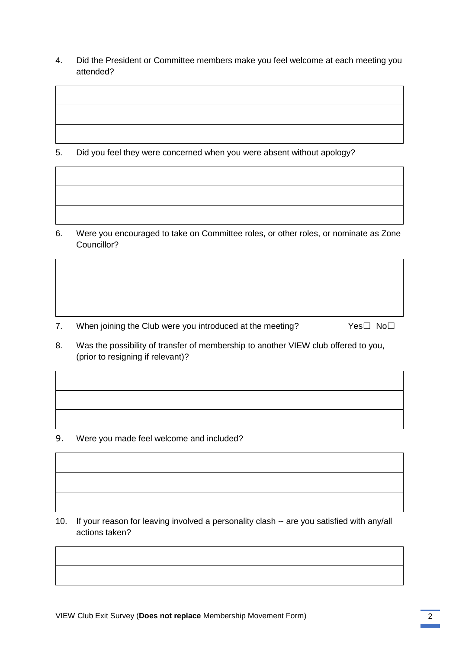4. Did the President or Committee members make you feel welcome at each meeting you attended?

5. Did you feel they were concerned when you were absent without apology?

6. Were you encouraged to take on Committee roles, or other roles, or nominate as Zone Councillor?

- 7. When joining the Club were you introduced at the meeting?  $Yes□$  No $□$
- 8. Was the possibility of transfer of membership to another VIEW club offered to you,
- (prior to resigning if relevant)?

9. Were you made feel welcome and included?

10. If your reason for leaving involved a personality clash -- are you satisfied with any/all actions taken?